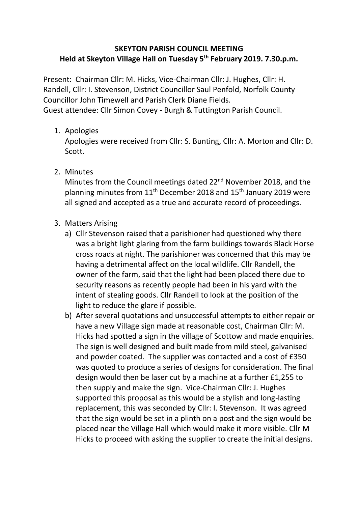## **SKEYTON PARISH COUNCIL MEETING Held at Skeyton Village Hall on Tuesday 5th February 2019. 7.30.p.m.**

Present: Chairman Cllr: M. Hicks, Vice-Chairman Cllr: J. Hughes, Cllr: H. Randell, Cllr: I. Stevenson, District Councillor Saul Penfold, Norfolk County Councillor John Timewell and Parish Clerk Diane Fields. Guest attendee: Cllr Simon Covey - Burgh & Tuttington Parish Council.

1. Apologies

Apologies were received from Cllr: S. Bunting, Cllr: A. Morton and Cllr: D. Scott.

2. Minutes

Minutes from the Council meetings dated 22<sup>nd</sup> November 2018, and the planning minutes from  $11<sup>th</sup>$  December 2018 and  $15<sup>th</sup>$  January 2019 were all signed and accepted as a true and accurate record of proceedings.

- 3. Matters Arising
	- a) Cllr Stevenson raised that a parishioner had questioned why there was a bright light glaring from the farm buildings towards Black Horse cross roads at night. The parishioner was concerned that this may be having a detrimental affect on the local wildlife. Cllr Randell, the owner of the farm, said that the light had been placed there due to security reasons as recently people had been in his yard with the intent of stealing goods. Cllr Randell to look at the position of the light to reduce the glare if possible.
	- b) After several quotations and unsuccessful attempts to either repair or have a new Village sign made at reasonable cost, Chairman Cllr: M. Hicks had spotted a sign in the village of Scottow and made enquiries. The sign is well designed and built made from mild steel, galvanised and powder coated. The supplier was contacted and a cost of £350 was quoted to produce a series of designs for consideration. The final design would then be laser cut by a machine at a further £1,255 to then supply and make the sign. Vice-Chairman Cllr: J. Hughes supported this proposal as this would be a stylish and long-lasting replacement, this was seconded by Cllr: I. Stevenson. It was agreed that the sign would be set in a plinth on a post and the sign would be placed near the Village Hall which would make it more visible. Cllr M Hicks to proceed with asking the supplier to create the initial designs.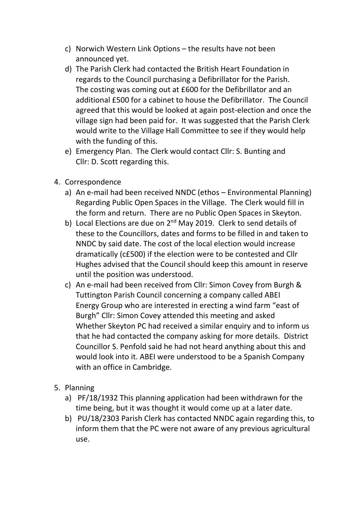- c) Norwich Western Link Options the results have not been announced yet.
- d) The Parish Clerk had contacted the British Heart Foundation in regards to the Council purchasing a Defibrillator for the Parish. The costing was coming out at £600 for the Defibrillator and an additional £500 for a cabinet to house the Defibrillator. The Council agreed that this would be looked at again post-election and once the village sign had been paid for. It was suggested that the Parish Clerk would write to the Village Hall Committee to see if they would help with the funding of this.
- e) Emergency Plan. The Clerk would contact Cllr: S. Bunting and Cllr: D. Scott regarding this.
- 4. Correspondence
	- a) An e-mail had been received NNDC (ethos Environmental Planning) Regarding Public Open Spaces in the Village. The Clerk would fill in the form and return. There are no Public Open Spaces in Skeyton.
	- b) Local Elections are due on  $2^{nd}$  May 2019. Clerk to send details of these to the Councillors, dates and forms to be filled in and taken to NNDC by said date. The cost of the local election would increase dramatically (c£500) if the election were to be contested and Cllr Hughes advised that the Council should keep this amount in reserve until the position was understood.
	- c) An e-mail had been received from Cllr: Simon Covey from Burgh & Tuttington Parish Council concerning a company called ABEI Energy Group who are interested in erecting a wind farm "east of Burgh" Cllr: Simon Covey attended this meeting and asked Whether Skeyton PC had received a similar enquiry and to inform us that he had contacted the company asking for more details. District Councillor S. Penfold said he had not heard anything about this and would look into it. ABEI were understood to be a Spanish Company with an office in Cambridge.
- 5. Planning
	- a) PF/18/1932 This planning application had been withdrawn for the time being, but it was thought it would come up at a later date.
	- b) PU/18/2303 Parish Clerk has contacted NNDC again regarding this, to inform them that the PC were not aware of any previous agricultural use.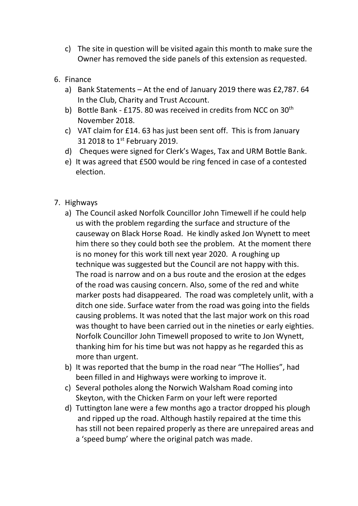- c) The site in question will be visited again this month to make sure the Owner has removed the side panels of this extension as requested.
- 6. Finance
	- a) Bank Statements At the end of January 2019 there was £2,787. 64 In the Club, Charity and Trust Account.
	- b) Bottle Bank £175. 80 was received in credits from NCC on 30<sup>th</sup> November 2018.
	- c) VAT claim for £14. 63 has just been sent off. This is from January 31 2018 to 1st February 2019.
	- d) Cheques were signed for Clerk's Wages, Tax and URM Bottle Bank.
	- e) It was agreed that £500 would be ring fenced in case of a contested election.
- 7. Highways
	- a) The Council asked Norfolk Councillor John Timewell if he could help us with the problem regarding the surface and structure of the causeway on Black Horse Road. He kindly asked Jon Wynett to meet him there so they could both see the problem. At the moment there is no money for this work till next year 2020. A roughing up technique was suggested but the Council are not happy with this. The road is narrow and on a bus route and the erosion at the edges of the road was causing concern. Also, some of the red and white marker posts had disappeared. The road was completely unlit, with a ditch one side. Surface water from the road was going into the fields causing problems. It was noted that the last major work on this road was thought to have been carried out in the nineties or early eighties. Norfolk Councillor John Timewell proposed to write to Jon Wynett, thanking him for his time but was not happy as he regarded this as more than urgent.
	- b) It was reported that the bump in the road near "The Hollies", had been filled in and Highways were working to improve it.
	- c) Several potholes along the Norwich Walsham Road coming into Skeyton, with the Chicken Farm on your left were reported
	- d) Tuttington lane were a few months ago a tractor dropped his plough and ripped up the road. Although hastily repaired at the time this has still not been repaired properly as there are unrepaired areas and a 'speed bump' where the original patch was made.